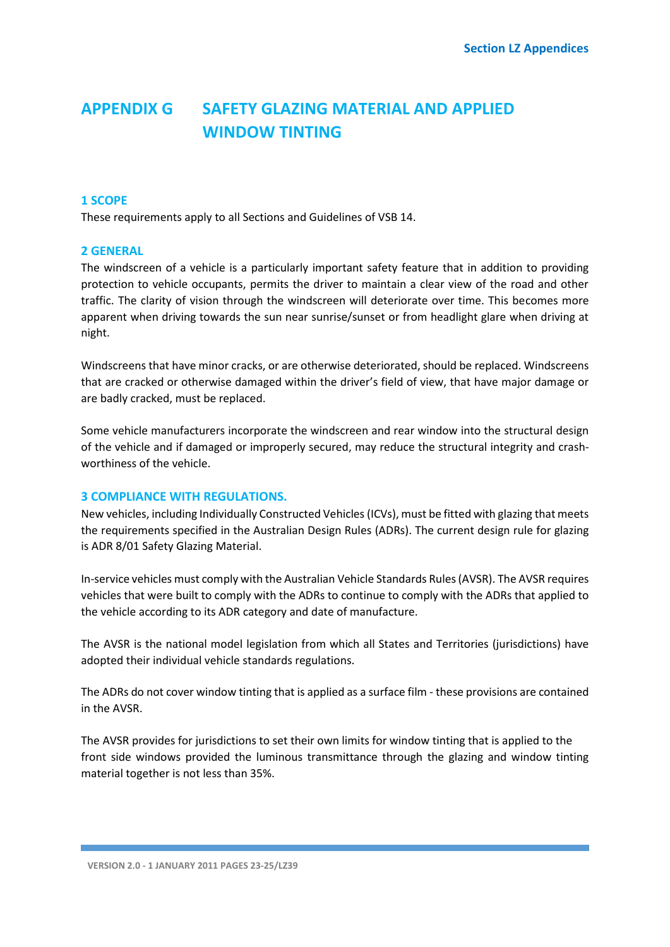# **APPENDIX G SAFETY GLAZING MATERIAL AND APPLIED WINDOW TINTING**

#### **1 SCOPE**

These requirements apply to all Sections and Guidelines of VSB 14.

#### **2 GENERAL**

The windscreen of a vehicle is a particularly important safety feature that in addition to providing protection to vehicle occupants, permits the driver to maintain a clear view of the road and other traffic. The clarity of vision through the windscreen will deteriorate over time. This becomes more apparent when driving towards the sun near sunrise/sunset or from headlight glare when driving at night.

Windscreens that have minor cracks, or are otherwise deteriorated, should be replaced. Windscreens that are cracked or otherwise damaged within the driver's field of view, that have major damage or are badly cracked, must be replaced.

Some vehicle manufacturers incorporate the windscreen and rear window into the structural design of the vehicle and if damaged or improperly secured, may reduce the structural integrity and crashworthiness of the vehicle.

#### **3 COMPLIANCE WITH REGULATIONS.**

New vehicles, including Individually Constructed Vehicles (ICVs), must be fitted with glazing that meets the requirements specified in the Australian Design Rules (ADRs). The current design rule for glazing is ADR 8/01 Safety Glazing Material.

In-service vehicles must comply with the Australian Vehicle Standards Rules (AVSR). The AVSR requires vehicles that were built to comply with the ADRs to continue to comply with the ADRs that applied to the vehicle according to its ADR category and date of manufacture.

The AVSR is the national model legislation from which all States and Territories (jurisdictions) have adopted their individual vehicle standards regulations.

The ADRs do not cover window tinting that is applied as a surface film - these provisions are contained in the AVSR.

The AVSR provides for jurisdictions to set their own limits for window tinting that is applied to the front side windows provided the luminous transmittance through the glazing and window tinting material together is not less than 35%.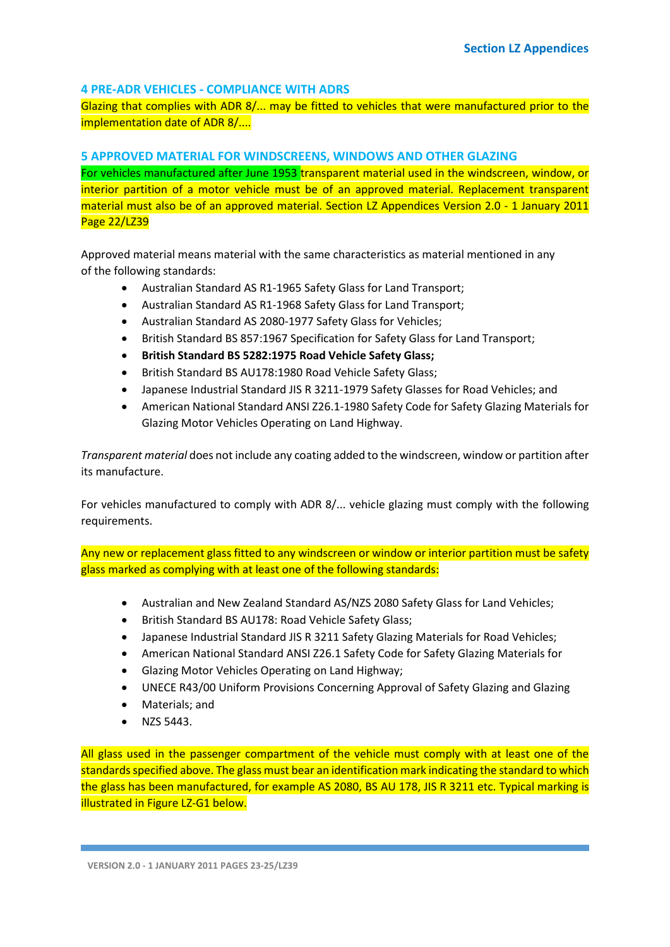# **4 PRE-ADR VEHICLES - COMPLIANCE WITH ADRS**

Glazing that complies with ADR 8/... may be fitted to vehicles that were manufactured prior to the implementation date of ADR 8/....

### **5 APPROVED MATERIAL FOR WINDSCREENS, WINDOWS AND OTHER GLAZING**

For vehicles manufactured after June 1953 transparent material used in the windscreen, window, or interior partition of a motor vehicle must be of an approved material. Replacement transparent material must also be of an approved material. Section LZ Appendices Version 2.0 - 1 January 2011 Page 22/LZ39

Approved material means material with the same characteristics as material mentioned in any of the following standards:

- Australian Standard AS R1-1965 Safety Glass for Land Transport;
- Australian Standard AS R1-1968 Safety Glass for Land Transport;
- Australian Standard AS 2080-1977 Safety Glass for Vehicles;
- British Standard BS 857:1967 Specification for Safety Glass for Land Transport;
- **British Standard BS 5282:1975 Road Vehicle Safety Glass;**
- British Standard BS AU178:1980 Road Vehicle Safety Glass;
- Japanese Industrial Standard JIS R 3211-1979 Safety Glasses for Road Vehicles; and
- American National Standard ANSI Z26.1-1980 Safety Code for Safety Glazing Materials for Glazing Motor Vehicles Operating on Land Highway.

*Transparent material* does not include any coating added to the windscreen, window or partition after its manufacture.

For vehicles manufactured to comply with ADR 8/... vehicle glazing must comply with the following requirements.

Any new or replacement glass fitted to any windscreen or window or interior partition must be safety glass marked as complying with at least one of the following standards:

- Australian and New Zealand Standard AS/NZS 2080 Safety Glass for Land Vehicles;
- British Standard BS AU178: Road Vehicle Safety Glass;
- Japanese Industrial Standard JIS R 3211 Safety Glazing Materials for Road Vehicles;
- American National Standard ANSI Z26.1 Safety Code for Safety Glazing Materials for
- Glazing Motor Vehicles Operating on Land Highway;
- UNECE R43/00 Uniform Provisions Concerning Approval of Safety Glazing and Glazing
- Materials; and
- NZS 5443.

All glass used in the passenger compartment of the vehicle must comply with at least one of the standards specified above. The glass must bear an identification mark indicating the standard to which the glass has been manufactured, for example AS 2080, BS AU 178, JIS R 3211 etc. Typical marking is illustrated in Figure LZ-G1 below.

**VERSION 2.0 - 1 JANUARY 2011 PAGES 23-25/LZ39**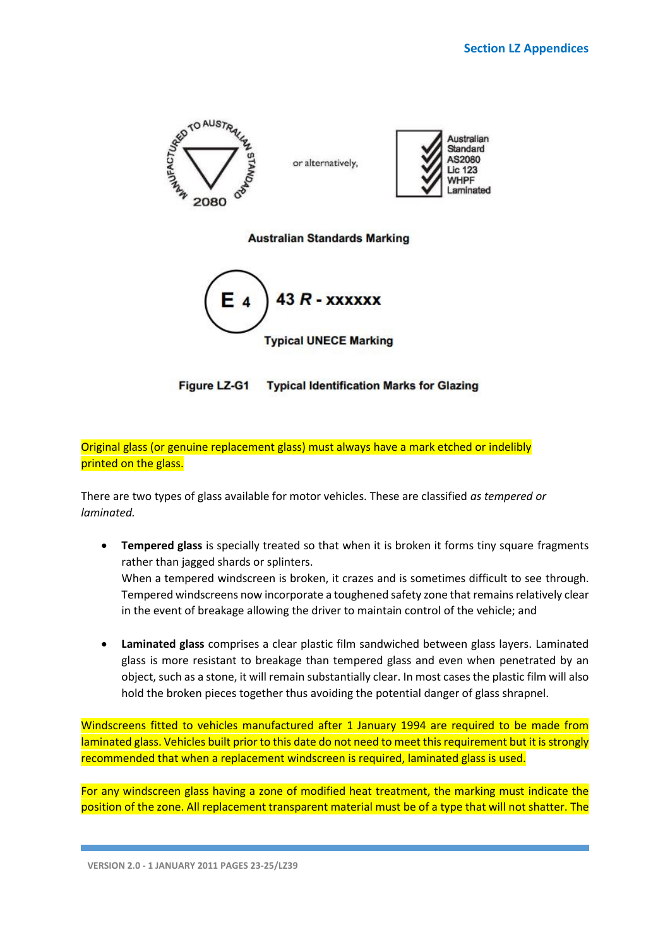

**Australian Standards Marking** 



Figure LZ-G1 Typical Identification Marks for Glazing

Original glass (or genuine replacement glass) must always have a mark etched or indelibly printed on the glass.

There are two types of glass available for motor vehicles. These are classified *as tempered or laminated.*

- **Tempered glass** is specially treated so that when it is broken it forms tiny square fragments rather than jagged shards or splinters. When a tempered windscreen is broken, it crazes and is sometimes difficult to see through. Tempered windscreens now incorporate a toughened safety zone that remains relatively clear in the event of breakage allowing the driver to maintain control of the vehicle; and
- **Laminated glass** comprises a clear plastic film sandwiched between glass layers. Laminated glass is more resistant to breakage than tempered glass and even when penetrated by an object, such as a stone, it will remain substantially clear. In most cases the plastic film will also hold the broken pieces together thus avoiding the potential danger of glass shrapnel.

Windscreens fitted to vehicles manufactured after 1 January 1994 are required to be made from laminated glass. Vehicles built prior to this date do not need to meet this requirement but it is strongly recommended that when a replacement windscreen is required, laminated glass is used.

For any windscreen glass having a zone of modified heat treatment, the marking must indicate the position of the zone. All replacement transparent material must be of a type that will not shatter. The

**VERSION 2.0 - 1 JANUARY 2011 PAGES 23-25/LZ39**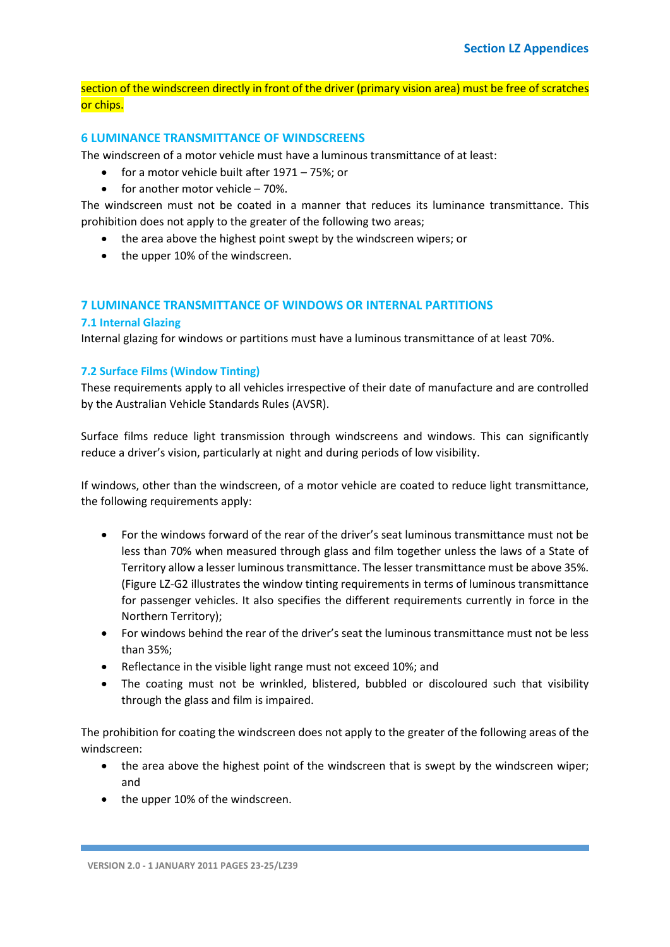# section of the windscreen directly in front of the driver (primary vision area) must be free of scratches or chips.

### **6 LUMINANCE TRANSMITTANCE OF WINDSCREENS**

The windscreen of a motor vehicle must have a luminous transmittance of at least:

- for a motor vehicle built after 1971 75%; or
- for another motor vehicle 70%.

The windscreen must not be coated in a manner that reduces its luminance transmittance. This prohibition does not apply to the greater of the following two areas;

- the area above the highest point swept by the windscreen wipers; or
- the upper 10% of the windscreen.

# **7 LUMINANCE TRANSMITTANCE OF WINDOWS OR INTERNAL PARTITIONS**

## **7.1 Internal Glazing**

Internal glazing for windows or partitions must have a luminous transmittance of at least 70%.

## **7.2 Surface Films (Window Tinting)**

These requirements apply to all vehicles irrespective of their date of manufacture and are controlled by the Australian Vehicle Standards Rules (AVSR).

Surface films reduce light transmission through windscreens and windows. This can significantly reduce a driver's vision, particularly at night and during periods of low visibility.

If windows, other than the windscreen, of a motor vehicle are coated to reduce light transmittance, the following requirements apply:

- For the windows forward of the rear of the driver's seat luminous transmittance must not be less than 70% when measured through glass and film together unless the laws of a State of Territory allow a lesser luminous transmittance. The lesser transmittance must be above 35%. (Figure LZ-G2 illustrates the window tinting requirements in terms of luminous transmittance for passenger vehicles. It also specifies the different requirements currently in force in the Northern Territory);
- For windows behind the rear of the driver's seat the luminous transmittance must not be less than 35%;
- Reflectance in the visible light range must not exceed 10%; and
- The coating must not be wrinkled, blistered, bubbled or discoloured such that visibility through the glass and film is impaired.

The prohibition for coating the windscreen does not apply to the greater of the following areas of the windscreen:

- the area above the highest point of the windscreen that is swept by the windscreen wiper; and
- the upper 10% of the windscreen.